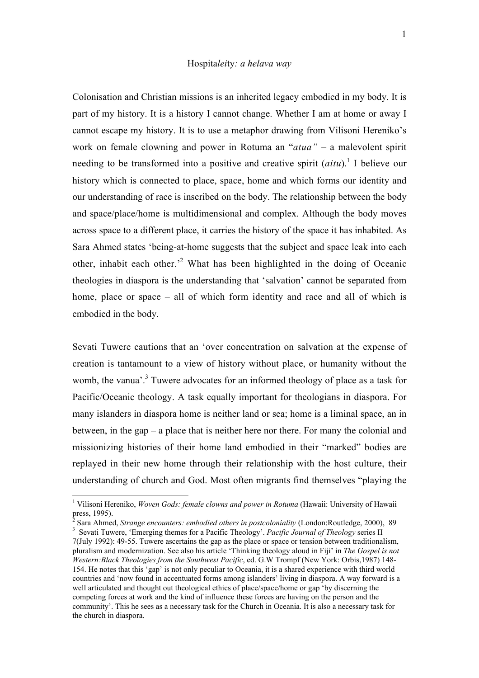## Hospita*lei*ty*: a helava way*

Colonisation and Christian missions is an inherited legacy embodied in my body. It is part of my history. It is a history I cannot change. Whether I am at home or away I cannot escape my history. It is to use a metaphor drawing from Vilisoni Hereniko's work on female clowning and power in Rotuma an "*atua"* – a malevolent spirit needing to be transformed into a positive and creative spirit (*aitu*).<sup>1</sup> I believe our history which is connected to place, space, home and which forms our identity and our understanding of race is inscribed on the body. The relationship between the body and space/place/home is multidimensional and complex. Although the body moves across space to a different place, it carries the history of the space it has inhabited. As Sara Ahmed states 'being-at-home suggests that the subject and space leak into each other, inhabit each other.'2 What has been highlighted in the doing of Oceanic theologies in diaspora is the understanding that 'salvation' cannot be separated from home, place or space – all of which form identity and race and all of which is embodied in the body.

Sevati Tuwere cautions that an 'over concentration on salvation at the expense of creation is tantamount to a view of history without place, or humanity without the womb, the vanua<sup>'.3</sup> Tuwere advocates for an informed theology of place as a task for Pacific/Oceanic theology. A task equally important for theologians in diaspora. For many islanders in diaspora home is neither land or sea; home is a liminal space, an in between, in the gap – a place that is neither here nor there. For many the colonial and missionizing histories of their home land embodied in their "marked" bodies are replayed in their new home through their relationship with the host culture, their understanding of church and God. Most often migrants find themselves "playing the

 $\frac{1}{1}$ <sup>1</sup> Vilisoni Hereniko, *Woven Gods: female clowns and power in Rotuma* (Hawaii: University of Hawaii press, 1995).<br><sup>2</sup> Sara Ahmed, *Strange encounters: embodied others in postcoloniality* (London:Routledge, 2000), 89<br><sup>3</sup> Seyeti Tuyyan, 'Emerging themas for a Pagific Theology', *Pagific Journal of Theology series* H

<sup>&</sup>lt;sup>3</sup> Sevati Tuwere, 'Emerging themes for a Pacific Theology'. *Pacific Journal of Theology* series II 7(July 1992): 49-55. Tuwere ascertains the gap as the place or space or tension between traditionalism, pluralism and modernization. See also his article 'Thinking theology aloud in Fiji' in *The Gospel is not Western:Black Theologies from the Southwest Pacific*, ed. G.W Trompf (New York: Orbis,1987) 148- 154. He notes that this 'gap' is not only peculiar to Oceania, it is a shared experience with third world countries and 'now found in accentuated forms among islanders' living in diaspora. A way forward is a well articulated and thought out theological ethics of place/space/home or gap 'by discerning the competing forces at work and the kind of influence these forces are having on the person and the community'. This he sees as a necessary task for the Church in Oceania. It is also a necessary task for the church in diaspora.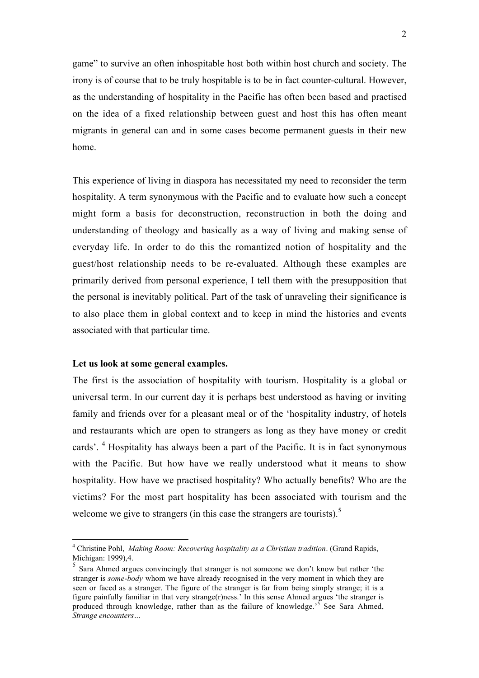game" to survive an often inhospitable host both within host church and society. The irony is of course that to be truly hospitable is to be in fact counter-cultural. However, as the understanding of hospitality in the Pacific has often been based and practised on the idea of a fixed relationship between guest and host this has often meant migrants in general can and in some cases become permanent guests in their new home.

This experience of living in diaspora has necessitated my need to reconsider the term hospitality. A term synonymous with the Pacific and to evaluate how such a concept might form a basis for deconstruction, reconstruction in both the doing and understanding of theology and basically as a way of living and making sense of everyday life. In order to do this the romantized notion of hospitality and the guest/host relationship needs to be re-evaluated. Although these examples are primarily derived from personal experience, I tell them with the presupposition that the personal is inevitably political. Part of the task of unraveling their significance is to also place them in global context and to keep in mind the histories and events associated with that particular time.

## Let us look at some general examples.

The first is the association of hospitality with tourism. Hospitality is a global or universal term. In our current day it is perhaps best understood as having or inviting family and friends over for a pleasant meal or of the 'hospitality industry, of hotels and restaurants which are open to strangers as long as they have money or credit cards'. <sup>4</sup> Hospitality has always been a part of the Pacific. It is in fact synonymous with the Pacific. But how have we really understood what it means to show hospitality. How have we practised hospitality? Who actually benefits? Who are the victims? For the most part hospitality has been associated with tourism and the welcome we give to strangers (in this case the strangers are tourists). $5$ 

 $\frac{1}{4}$  Christine Pohl, *Making Room: Recovering hospitality as a Christian tradition*. (Grand Rapids, Michigan: 1999),4.

<sup>5</sup> Sara Ahmed argues convincingly that stranger is not someone we don't know but rather 'the stranger is *some-body* whom we have already recognised in the very moment in which they are seen or faced as a stranger. The figure of the stranger is far from being simply strange; it is a figure painfully familiar in that very strange(r)ness.' In this sense Ahmed argues 'the stranger is produced through knowledge, rather than as the failure of knowledge.<sup>55</sup> See Sara Ahmed, *Strange encounters…*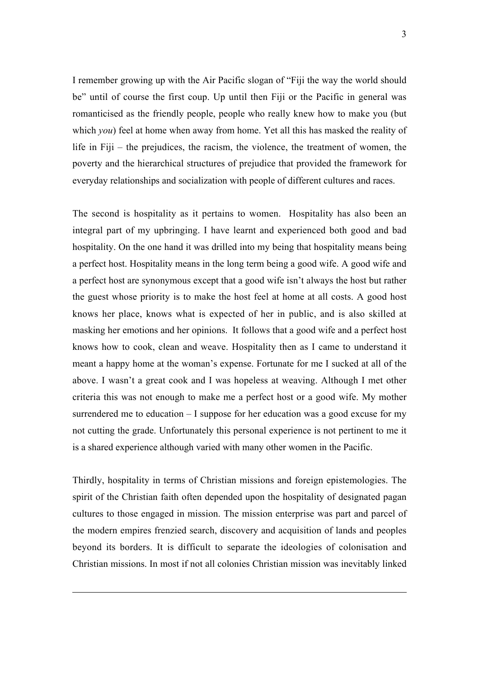I remember growing up with the Air Pacific slogan of "Fiji the way the world should be" until of course the first coup. Up until then Fiji or the Pacific in general was romanticised as the friendly people, people who really knew how to make you (but which *you*) feel at home when away from home. Yet all this has masked the reality of life in Fiji – the prejudices, the racism, the violence, the treatment of women, the poverty and the hierarchical structures of prejudice that provided the framework for everyday relationships and socialization with people of different cultures and races.

The second is hospitality as it pertains to women. Hospitality has also been an integral part of my upbringing. I have learnt and experienced both good and bad hospitality. On the one hand it was drilled into my being that hospitality means being a perfect host. Hospitality means in the long term being a good wife. A good wife and a perfect host are synonymous except that a good wife isn't always the host but rather the guest whose priority is to make the host feel at home at all costs. A good host knows her place, knows what is expected of her in public, and is also skilled at masking her emotions and her opinions. It follows that a good wife and a perfect host knows how to cook, clean and weave. Hospitality then as I came to understand it meant a happy home at the woman's expense. Fortunate for me I sucked at all of the above. I wasn't a great cook and I was hopeless at weaving. Although I met other criteria this was not enough to make me a perfect host or a good wife. My mother surrendered me to education – I suppose for her education was a good excuse for my not cutting the grade. Unfortunately this personal experience is not pertinent to me it is a shared experience although varied with many other women in the Pacific.

Thirdly, hospitality in terms of Christian missions and foreign epistemologies. The spirit of the Christian faith often depended upon the hospitality of designated pagan cultures to those engaged in mission. The mission enterprise was part and parcel of the modern empires frenzied search, discovery and acquisition of lands and peoples beyond its borders. It is difficult to separate the ideologies of colonisation and Christian missions. In most if not all colonies Christian mission was inevitably linked

 $\overline{a}$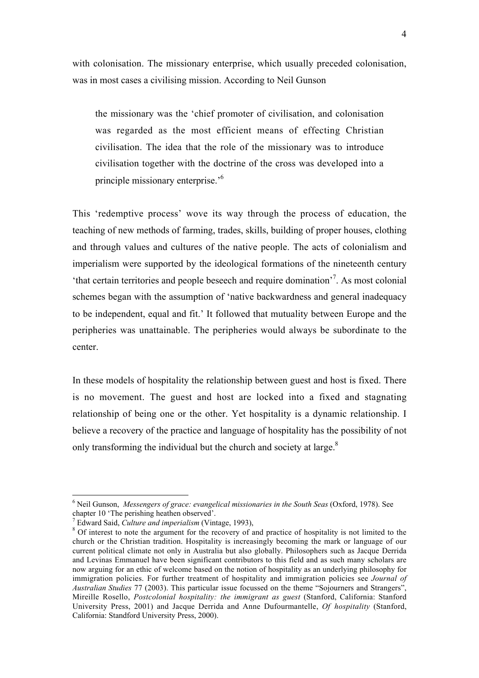with colonisation. The missionary enterprise, which usually preceded colonisation, was in most cases a civilising mission. According to Neil Gunson

the missionary was the 'chief promoter of civilisation, and colonisation was regarded as the most efficient means of effecting Christian civilisation. The idea that the role of the missionary was to introduce civilisation together with the doctrine of the cross was developed into a principle missionary enterprise.'6

This 'redemptive process' wove its way through the process of education, the teaching of new methods of farming, trades, skills, building of proper houses, clothing and through values and cultures of the native people. The acts of colonialism and imperialism were supported by the ideological formations of the nineteenth century 'that certain territories and people beseech and require domination'<sup>7</sup> . As most colonial schemes began with the assumption of 'native backwardness and general inadequacy to be independent, equal and fit.' It followed that mutuality between Europe and the peripheries was unattainable. The peripheries would always be subordinate to the center.

In these models of hospitality the relationship between guest and host is fixed. There is no movement. The guest and host are locked into a fixed and stagnating relationship of being one or the other. Yet hospitality is a dynamic relationship. I believe a recovery of the practice and language of hospitality has the possibility of not only transforming the individual but the church and society at large.<sup>8</sup>

 <sup>6</sup> Neil Gunson, *Messengers of grace: evangelical missionaries in the South Seas* (Oxford, 1978). See chapter 10 'The perishing heathen observed'.

 $^7$  Edward Said. Culture and imperialism (Vintage, 1993).

<sup>&</sup>lt;sup>8</sup> Of interest to note the argument for the recovery of and practice of hospitality is not limited to the church or the Christian tradition. Hospitality is increasingly becoming the mark or language of our current political climate not only in Australia but also globally. Philosophers such as Jacque Derrida and Levinas Emmanuel have been significant contributors to this field and as such many scholars are now arguing for an ethic of welcome based on the notion of hospitality as an underlying philosophy for immigration policies. For further treatment of hospitality and immigration policies see *Journal of Australian Studies* 77 (2003). This particular issue focussed on the theme "Sojourners and Strangers", Mireille Rosello, *Postcolonial hospitality: the immigrant as guest* (Stanford, California: Stanford University Press, 2001) and Jacque Derrida and Anne Dufourmantelle, *Of hospitality* (Stanford, California: Standford University Press, 2000).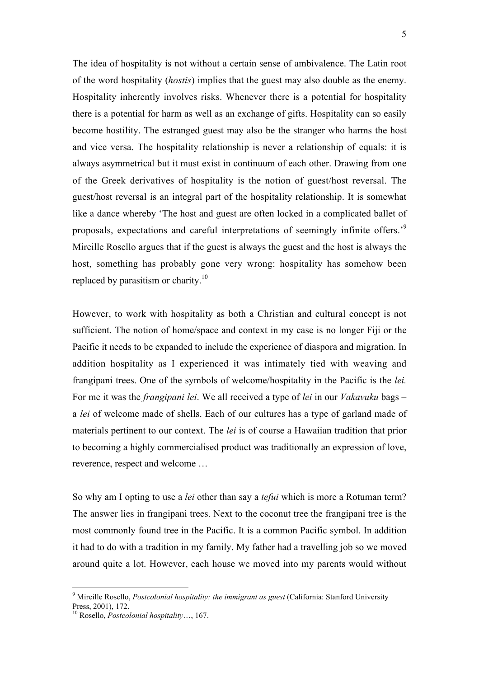The idea of hospitality is not without a certain sense of ambivalence. The Latin root of the word hospitality (*hostis*) implies that the guest may also double as the enemy. Hospitality inherently involves risks. Whenever there is a potential for hospitality there is a potential for harm as well as an exchange of gifts. Hospitality can so easily become hostility. The estranged guest may also be the stranger who harms the host and vice versa. The hospitality relationship is never a relationship of equals: it is always asymmetrical but it must exist in continuum of each other. Drawing from one of the Greek derivatives of hospitality is the notion of guest/host reversal. The guest/host reversal is an integral part of the hospitality relationship. It is somewhat like a dance whereby 'The host and guest are often locked in a complicated ballet of proposals, expectations and careful interpretations of seemingly infinite offers.'<sup>9</sup> Mireille Rosello argues that if the guest is always the guest and the host is always the host, something has probably gone very wrong: hospitality has somehow been replaced by parasitism or charity.<sup>10</sup>

However, to work with hospitality as both a Christian and cultural concept is not sufficient. The notion of home/space and context in my case is no longer Fiji or the Pacific it needs to be expanded to include the experience of diaspora and migration. In addition hospitality as I experienced it was intimately tied with weaving and frangipani trees. One of the symbols of welcome/hospitality in the Pacific is the *lei.* For me it was the *frangipani lei*. We all received a type of *lei* in our *Vakavuku* bags – a *lei* of welcome made of shells. Each of our cultures has a type of garland made of materials pertinent to our context. The *lei* is of course a Hawaiian tradition that prior to becoming a highly commercialised product was traditionally an expression of love, reverence, respect and welcome …

So why am I opting to use a *lei* other than say a *tefui* which is more a Rotuman term? The answer lies in frangipani trees. Next to the coconut tree the frangipani tree is the most commonly found tree in the Pacific. It is a common Pacific symbol. In addition it had to do with a tradition in my family. My father had a travelling job so we moved around quite a lot. However, each house we moved into my parents would without

<sup>-&</sup>lt;br>9 Mireille Rosello, *Postcolonial hospitality: the immigrant as guest* (California: Stanford University Press, 2001), 172.

<sup>10</sup> Rosello, *Postcolonial hospitality*…, 167.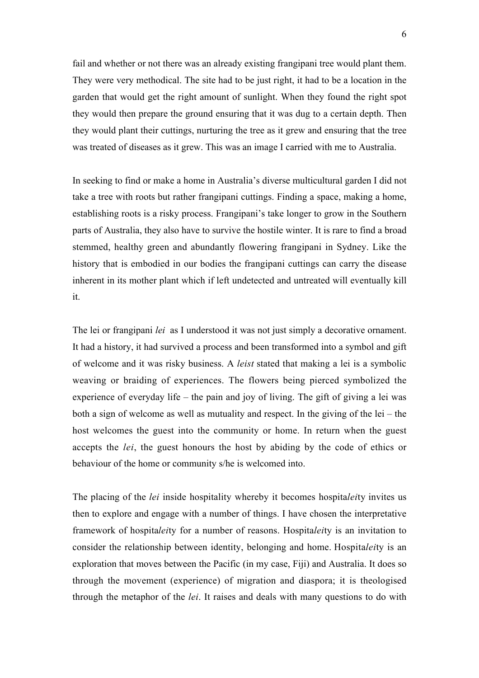fail and whether or not there was an already existing frangipani tree would plant them. They were very methodical. The site had to be just right, it had to be a location in the garden that would get the right amount of sunlight. When they found the right spot they would then prepare the ground ensuring that it was dug to a certain depth. Then they would plant their cuttings, nurturing the tree as it grew and ensuring that the tree was treated of diseases as it grew. This was an image I carried with me to Australia.

In seeking to find or make a home in Australia's diverse multicultural garden I did not take a tree with roots but rather frangipani cuttings. Finding a space, making a home, establishing roots is a risky process. Frangipani's take longer to grow in the Southern parts of Australia, they also have to survive the hostile winter. It is rare to find a broad stemmed, healthy green and abundantly flowering frangipani in Sydney. Like the history that is embodied in our bodies the frangipani cuttings can carry the disease inherent in its mother plant which if left undetected and untreated will eventually kill it.

The lei or frangipani *lei* as I understood it was not just simply a decorative ornament. It had a history, it had survived a process and been transformed into a symbol and gift of welcome and it was risky business. A *leist* stated that making a lei is a symbolic weaving or braiding of experiences. The flowers being pierced symbolized the experience of everyday life – the pain and joy of living. The gift of giving a lei was both a sign of welcome as well as mutuality and respect. In the giving of the lei – the host welcomes the guest into the community or home. In return when the guest accepts the *lei*, the guest honours the host by abiding by the code of ethics or behaviour of the home or community s/he is welcomed into.

The placing of the *lei* inside hospitality whereby it becomes hospita*lei*ty invites us then to explore and engage with a number of things. I have chosen the interpretative framework of hospita*lei*ty for a number of reasons. Hospita*lei*ty is an invitation to consider the relationship between identity, belonging and home. Hospita*lei*ty is an exploration that moves between the Pacific (in my case, Fiji) and Australia. It does so through the movement (experience) of migration and diaspora; it is theologised through the metaphor of the *lei*. It raises and deals with many questions to do with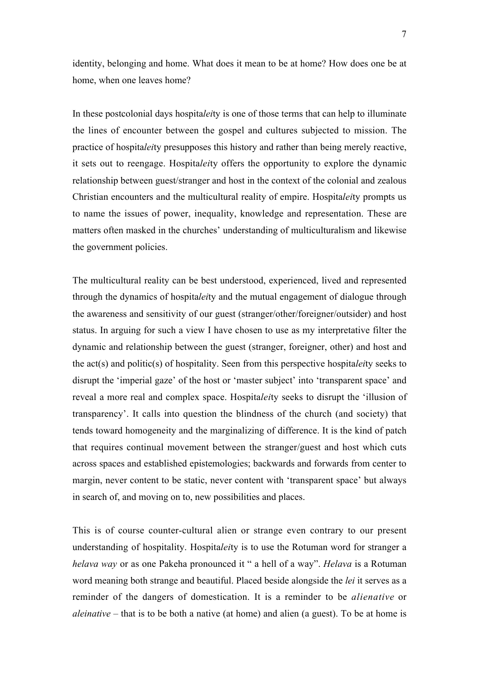identity, belonging and home. What does it mean to be at home? How does one be at home, when one leaves home?

In these postcolonial days hospita*lei*ty is one of those terms that can help to illuminate the lines of encounter between the gospel and cultures subjected to mission. The practice of hospita*lei*ty presupposes this history and rather than being merely reactive, it sets out to reengage. Hospita*lei*ty offers the opportunity to explore the dynamic relationship between guest/stranger and host in the context of the colonial and zealous Christian encounters and the multicultural reality of empire. Hospita*lei*ty prompts us to name the issues of power, inequality, knowledge and representation. These are matters often masked in the churches' understanding of multiculturalism and likewise the government policies.

The multicultural reality can be best understood, experienced, lived and represented through the dynamics of hospita*lei*ty and the mutual engagement of dialogue through the awareness and sensitivity of our guest (stranger/other/foreigner/outsider) and host status. In arguing for such a view I have chosen to use as my interpretative filter the dynamic and relationship between the guest (stranger, foreigner, other) and host and the act(s) and politic(s) of hospitality. Seen from this perspective hospita*lei*ty seeks to disrupt the 'imperial gaze' of the host or 'master subject' into 'transparent space' and reveal a more real and complex space. Hospita*lei*ty seeks to disrupt the 'illusion of transparency'. It calls into question the blindness of the church (and society) that tends toward homogeneity and the marginalizing of difference. It is the kind of patch that requires continual movement between the stranger/guest and host which cuts across spaces and established epistemologies; backwards and forwards from center to margin, never content to be static, never content with 'transparent space' but always in search of, and moving on to, new possibilities and places.

This is of course counter-cultural alien or strange even contrary to our present understanding of hospitality. Hospita*lei*ty is to use the Rotuman word for stranger a *helava way* or as one Pakeha pronounced it " a hell of a way". *Helava* is a Rotuman word meaning both strange and beautiful. Placed beside alongside the *lei* it serves as a reminder of the dangers of domestication. It is a reminder to be *alienative* or *aleinative* – that is to be both a native (at home) and alien (a guest). To be at home is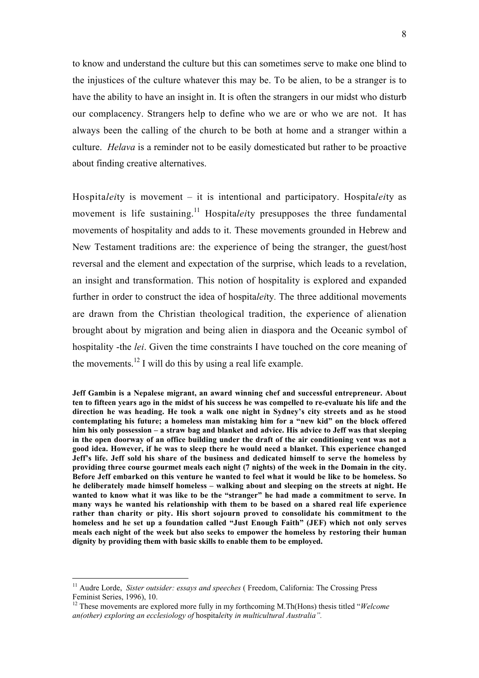to know and understand the culture but this can sometimes serve to make one blind to the injustices of the culture whatever this may be. To be alien, to be a stranger is to have the ability to have an insight in. It is often the strangers in our midst who disturb our complacency. Strangers help to define who we are or who we are not. It has always been the calling of the church to be both at home and a stranger within a culture. *Helava* is a reminder not to be easily domesticated but rather to be proactive about finding creative alternatives.

Hospita*lei*ty is movement – it is intentional and participatory. Hospita*lei*ty as movement is life sustaining.<sup>11</sup> Hospitaleity presupposes the three fundamental movements of hospitality and adds to it. These movements grounded in Hebrew and New Testament traditions are: the experience of being the stranger, the guest/host reversal and the element and expectation of the surprise, which leads to a revelation, an insight and transformation. This notion of hospitality is explored and expanded further in order to construct the idea of hospita*lei*ty*.* The three additional movements are drawn from the Christian theological tradition, the experience of alienation brought about by migration and being alien in diaspora and the Oceanic symbol of hospitality -the *lei*. Given the time constraints I have touched on the core meaning of the movements.<sup>12</sup> I will do this by using a real life example.

Jeff Gambin is a Nepalese migrant, an award winning chef and successful entrepreneur. About ten to fifteen years ago in the midst of his success he was compelled to re-evaluate his life and the direction he was heading. He took a walk one night in Sydney's city streets and as he stood contemplating his future; a homeless man mistaking him for a "new kid" on the block offered him his only possession – a straw bag and blanket and advice. His advice to Jeff was that sleeping in the open doorway of an office building under the draft of the air conditioning vent was not a good idea. However, if he was to sleep there he would need a blanket. This experience changed Jeff's life. Jeff sold his share of the business and dedicated himself to serve the homeless by providing three course gourmet meals each night (7 nights) of the week in the Domain in the city. Before Jeff embarked on this venture he wanted to feel what it would be like to be homeless. So he deliberately made himself homeless – walking about and sleeping on the streets at night. He wanted to know what it was like to be the "stranger" he had made a commitment to serve. In many ways he wanted his relationship with them to be based on a shared real life experience rather than charity or pity. His short sojourn proved to consolidate his commitment to the homeless and he set up a foundation called "Just Enough Faith" (JEF) which not only serves meals each night of the week but also seeks to empower the homeless by restoring their human dignity by providing them with basic skills to enable them to be employed.

 <sup>11</sup> Audre Lorde, *Sister outsider: essays and speeches* ( Freedom, California: The Crossing Press Feminist Series, 1996), 10.

<sup>&</sup>lt;sup>12</sup> These movements are explored more fully in my forthcoming M.Th(Hons) thesis titled "*Welcome an(other) exploring an ecclesiology of* hospita*lei*ty *in multicultural Australia".*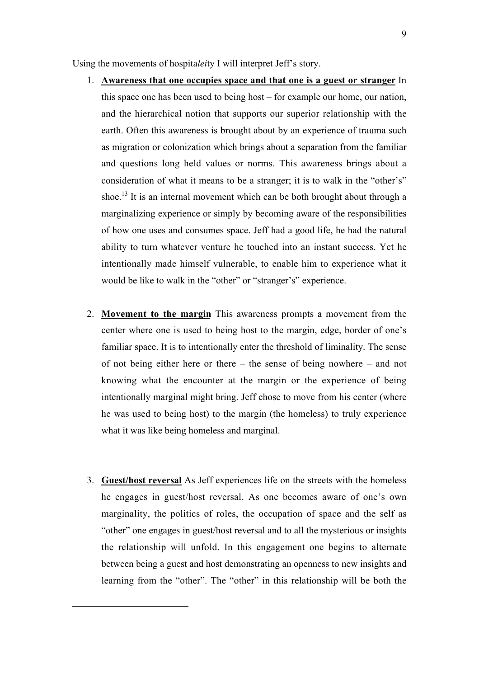Using the movements of hospita*lei*ty I will interpret Jeff's story.

- 1. Awareness that one occupies space and that one is a guest or stranger In this space one has been used to being host – for example our home, our nation, and the hierarchical notion that supports our superior relationship with the earth. Often this awareness is brought about by an experience of trauma such as migration or colonization which brings about a separation from the familiar and questions long held values or norms. This awareness brings about a consideration of what it means to be a stranger; it is to walk in the "other's" shoe.<sup>13</sup> It is an internal movement which can be both brought about through a marginalizing experience or simply by becoming aware of the responsibilities of how one uses and consumes space. Jeff had a good life, he had the natural ability to turn whatever venture he touched into an instant success. Yet he intentionally made himself vulnerable, to enable him to experience what it would be like to walk in the "other" or "stranger's" experience.
- 2. Movement to the margin This awareness prompts a movement from the center where one is used to being host to the margin, edge, border of one's familiar space. It is to intentionally enter the threshold of liminality. The sense of not being either here or there – the sense of being nowhere – and not knowing what the encounter at the margin or the experience of being intentionally marginal might bring. Jeff chose to move from his center (where he was used to being host) to the margin (the homeless) to truly experience what it was like being homeless and marginal.
- 3. Guest/host reversal As Jeff experiences life on the streets with the homeless he engages in guest/host reversal. As one becomes aware of one's own marginality, the politics of roles, the occupation of space and the self as "other" one engages in guest/host reversal and to all the mysterious or insights the relationship will unfold. In this engagement one begins to alternate between being a guest and host demonstrating an openness to new insights and learning from the "other". The "other" in this relationship will be both the

 $\overline{a}$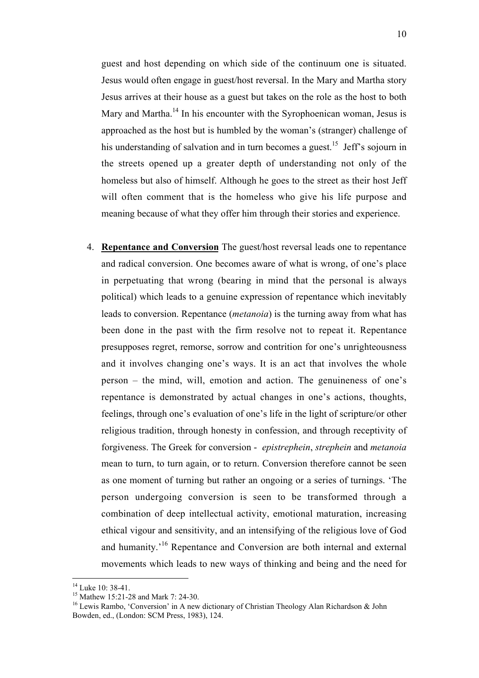guest and host depending on which side of the continuum one is situated. Jesus would often engage in guest/host reversal. In the Mary and Martha story Jesus arrives at their house as a guest but takes on the role as the host to both Mary and Martha.<sup>14</sup> In his encounter with the Syrophoenican woman, Jesus is approached as the host but is humbled by the woman's (stranger) challenge of his understanding of salvation and in turn becomes a guest.<sup>15</sup> Jeff's sojourn in the streets opened up a greater depth of understanding not only of the homeless but also of himself. Although he goes to the street as their host Jeff will often comment that is the homeless who give his life purpose and meaning because of what they offer him through their stories and experience.

4. Repentance and Conversion The guest/host reversal leads one to repentance and radical conversion. One becomes aware of what is wrong, of one's place in perpetuating that wrong (bearing in mind that the personal is always political) which leads to a genuine expression of repentance which inevitably leads to conversion. Repentance (*metanoia*) is the turning away from what has been done in the past with the firm resolve not to repeat it. Repentance presupposes regret, remorse, sorrow and contrition for one's unrighteousness and it involves changing one's ways. It is an act that involves the whole person – the mind, will, emotion and action. The genuineness of one's repentance is demonstrated by actual changes in one's actions, thoughts, feelings, through one's evaluation of one's life in the light of scripture/or other religious tradition, through honesty in confession, and through receptivity of forgiveness. The Greek for conversion - *epistrephein*, *strephein* and *metanoia* mean to turn, to turn again, or to return. Conversion therefore cannot be seen as one moment of turning but rather an ongoing or a series of turnings. 'The person undergoing conversion is seen to be transformed through a combination of deep intellectual activity, emotional maturation, increasing ethical vigour and sensitivity, and an intensifying of the religious love of God and humanity.'<sup>16</sup> Repentance and Conversion are both internal and external movements which leads to new ways of thinking and being and the need for

<sup>&</sup>lt;sup>14</sup> Luke 10: 38-41.

<sup>&</sup>lt;sup>15</sup> Mathew 15:21-28 and Mark 7: 24-30.

<sup>&</sup>lt;sup>16</sup> Lewis Rambo, 'Conversion' in A new dictionary of Christian Theology Alan Richardson & John Bowden, ed., (London: SCM Press, 1983), 124.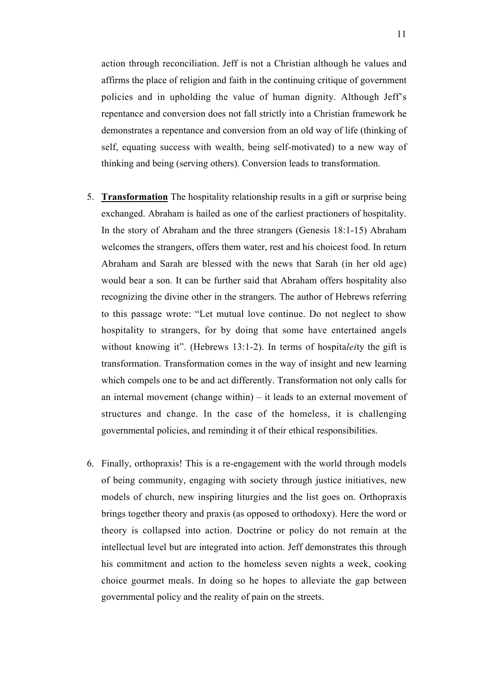action through reconciliation. Jeff is not a Christian although he values and affirms the place of religion and faith in the continuing critique of government policies and in upholding the value of human dignity. Although Jeff's repentance and conversion does not fall strictly into a Christian framework he demonstrates a repentance and conversion from an old way of life (thinking of self, equating success with wealth, being self-motivated) to a new way of thinking and being (serving others). Conversion leads to transformation.

- 5. Transformation The hospitality relationship results in a gift or surprise being exchanged. Abraham is hailed as one of the earliest practioners of hospitality. In the story of Abraham and the three strangers (Genesis 18:1-15) Abraham welcomes the strangers, offers them water, rest and his choicest food. In return Abraham and Sarah are blessed with the news that Sarah (in her old age) would bear a son. It can be further said that Abraham offers hospitality also recognizing the divine other in the strangers. The author of Hebrews referring to this passage wrote: "Let mutual love continue. Do not neglect to show hospitality to strangers, for by doing that some have entertained angels without knowing it". (Hebrews 13:1-2). In terms of hospita*lei*ty the gift is transformation. Transformation comes in the way of insight and new learning which compels one to be and act differently. Transformation not only calls for an internal movement (change within) – it leads to an external movement of structures and change. In the case of the homeless, it is challenging governmental policies, and reminding it of their ethical responsibilities.
- 6. Finally, orthopraxis! This is a re-engagement with the world through models of being community, engaging with society through justice initiatives, new models of church, new inspiring liturgies and the list goes on. Orthopraxis brings together theory and praxis (as opposed to orthodoxy). Here the word or theory is collapsed into action. Doctrine or policy do not remain at the intellectual level but are integrated into action. Jeff demonstrates this through his commitment and action to the homeless seven nights a week, cooking choice gourmet meals. In doing so he hopes to alleviate the gap between governmental policy and the reality of pain on the streets.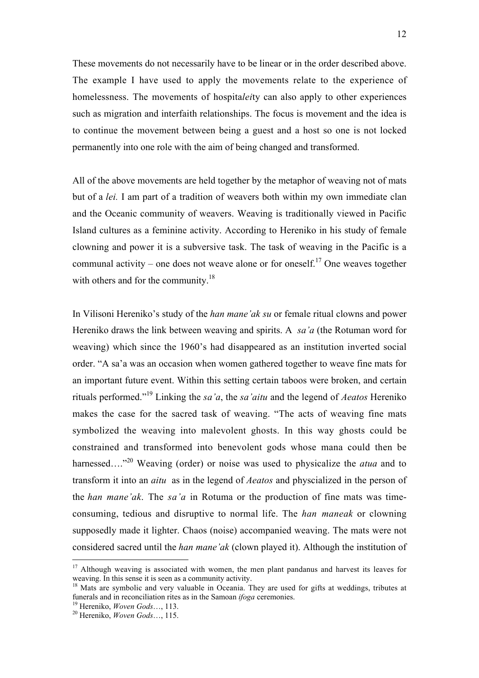These movements do not necessarily have to be linear or in the order described above. The example I have used to apply the movements relate to the experience of homelessness. The movements of hospita*lei*ty can also apply to other experiences such as migration and interfaith relationships. The focus is movement and the idea is to continue the movement between being a guest and a host so one is not locked permanently into one role with the aim of being changed and transformed.

All of the above movements are held together by the metaphor of weaving not of mats but of a *lei.* I am part of a tradition of weavers both within my own immediate clan and the Oceanic community of weavers. Weaving is traditionally viewed in Pacific Island cultures as a feminine activity. According to Hereniko in his study of female clowning and power it is a subversive task. The task of weaving in the Pacific is a communal activity – one does not weave alone or for oneself.<sup>17</sup> One weaves together with others and for the community.<sup>18</sup>

In Vilisoni Hereniko's study of the *han mane'ak su* or female ritual clowns and power Hereniko draws the link between weaving and spirits. A *sa'a* (the Rotuman word for weaving) which since the 1960's had disappeared as an institution inverted social order. "A sa'a was an occasion when women gathered together to weave fine mats for an important future event. Within this setting certain taboos were broken, and certain rituals performed."<sup>19</sup> Linking the *sa'a*, the *sa'aitu* and the legend of *Aeatos* Hereniko makes the case for the sacred task of weaving. "The acts of weaving fine mats symbolized the weaving into malevolent ghosts. In this way ghosts could be constrained and transformed into benevolent gods whose mana could then be harnessed…."<sup>20</sup> Weaving (order) or noise was used to physicalize the *atua* and to transform it into an *aitu* as in the legend of *Aeatos* and physcialized in the person of the *han mane'ak*. The *sa'a* in Rotuma or the production of fine mats was timeconsuming, tedious and disruptive to normal life. The *han maneak* or clowning supposedly made it lighter. Chaos (noise) accompanied weaving. The mats were not considered sacred until the *han mane'ak* (clown played it). Although the institution of

 $17$  Although weaving is associated with women, the men plant pandanus and harvest its leaves for weaving. In this sense it is seen as a community activity.

<sup>&</sup>lt;sup>18</sup> Mats are symbolic and very valuable in Oceania. They are used for gifts at weddings, tributes at funerals and in reconciliation rites as in the Samoan *ifoga* ceremonies.

<sup>&</sup>lt;sup>19</sup> Hereniko, *Woven Gods*…, 113.

Hereniko, *Woven Gods*…, 115.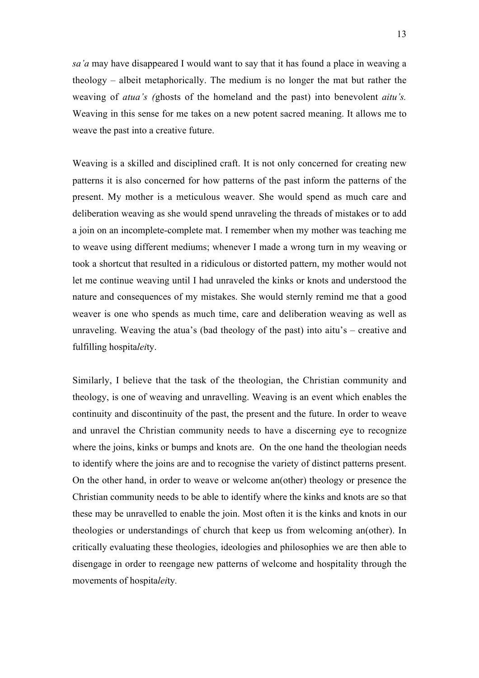*sa'a* may have disappeared I would want to say that it has found a place in weaving a theology – albeit metaphorically. The medium is no longer the mat but rather the weaving of *atua's (*ghosts of the homeland and the past) into benevolent *aitu's.* Weaving in this sense for me takes on a new potent sacred meaning. It allows me to weave the past into a creative future.

Weaving is a skilled and disciplined craft. It is not only concerned for creating new patterns it is also concerned for how patterns of the past inform the patterns of the present. My mother is a meticulous weaver. She would spend as much care and deliberation weaving as she would spend unraveling the threads of mistakes or to add a join on an incomplete-complete mat. I remember when my mother was teaching me to weave using different mediums; whenever I made a wrong turn in my weaving or took a shortcut that resulted in a ridiculous or distorted pattern, my mother would not let me continue weaving until I had unraveled the kinks or knots and understood the nature and consequences of my mistakes. She would sternly remind me that a good weaver is one who spends as much time, care and deliberation weaving as well as unraveling. Weaving the atua's (bad theology of the past) into aitu's – creative and fulfilling hospita*lei*ty.

Similarly, I believe that the task of the theologian, the Christian community and theology, is one of weaving and unravelling. Weaving is an event which enables the continuity and discontinuity of the past, the present and the future. In order to weave and unravel the Christian community needs to have a discerning eye to recognize where the joins, kinks or bumps and knots are. On the one hand the theologian needs to identify where the joins are and to recognise the variety of distinct patterns present. On the other hand, in order to weave or welcome an(other) theology or presence the Christian community needs to be able to identify where the kinks and knots are so that these may be unravelled to enable the join. Most often it is the kinks and knots in our theologies or understandings of church that keep us from welcoming an(other). In critically evaluating these theologies, ideologies and philosophies we are then able to disengage in order to reengage new patterns of welcome and hospitality through the movements of hospita*lei*ty*.*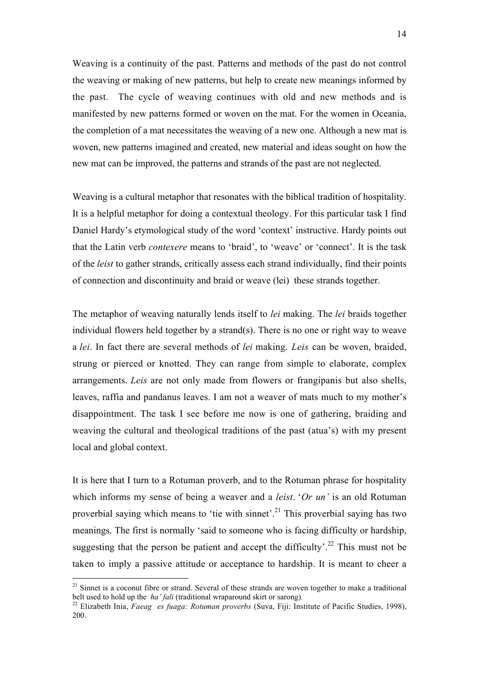Weaving is a continuity of the past. Patterns and methods of the past do not control the weaving or making of new patterns, but help to create new meanings informed by the past. The cycle of weaving continues with old and new methods and is manifested by new patterns formed or woven on the mat. For the women in Oceania, the completion of a mat necessitates the weaving of a new one. Although a new mat is woven, new patterns imagined and created, new material and ideas sought on how the new mat can be improved, the patterns and strands of the past are not neglected.

Weaving is a cultural metaphor that resonates with the biblical tradition of hospitality. It is a helpful metaphor for doing a contextual theology. For this particular task I find Daniel Hardy's etymological study of the word 'context' instructive. Hardy points out that the Latin verb *contexere* means to 'braid', to 'weave' or 'connect'. It is the task of the *leist* to gather strands, critically assess each strand individually, find their points of connection and discontinuity and braid or weave (lei) these strands together.

The metaphor of weaving naturally lends itself to *lei* making. The *lei* braids together individual flowers held together by a strand(s). There is no one or right way to weave a *lei*. In fact there are several methods of *lei* making. *Leis* can be woven, braided, strung or pierced or knotted. They can range from simple to elaborate, complex arrangements. *Leis* are not only made from flowers or frangipanis but also shells, leaves, raffia and pandanus leaves. I am not a weaver of mats much to my mother's disappointment. The task I see before me now is one of gathering, braiding and weaving the cultural and theological traditions of the past (atua's) with my present local and global context.

It is here that I turn to a Rotuman proverb, and to the Rotuman phrase for hospitality which informs my sense of being a weaver and a *leist*. '*Or un'* is an old Rotuman proverbial saying which means to 'tie with sinnet'.<sup>21</sup> This proverbial saying has two meanings. The first is normally 'said to someone who is facing difficulty or hardship, suggesting that the person be patient and accept the difficulty'.<sup>22</sup> This must not be taken to imply a passive attitude or acceptance to hardship. It is meant to cheer a

<sup>&</sup>lt;sup>21</sup> Sinnet is a coconut fibre or strand. Several of these strands are woven together to make a traditional belt used to hold up the *ha' fali* (traditional wraparound skirt or sarong).

<sup>&</sup>lt;sup>22</sup> Elizabeth Inia, *Faeag es fuaga: Rotuman proverbs* (Suva, Fiji: Institute of Pacific Studies, 1998), 200.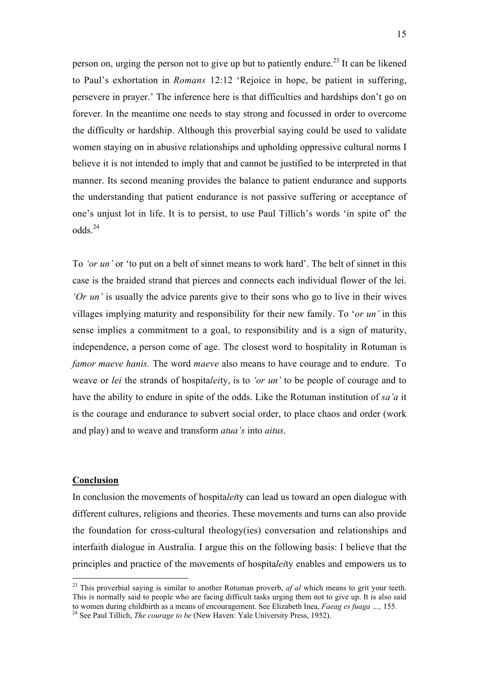person on, urging the person not to give up but to patiently endure.<sup>23</sup> It can be likened to Paul's exhortation in *Romans* 12:12 'Rejoice in hope, be patient in suffering, persevere in prayer.' The inference here is that difficulties and hardships don't go on forever. In the meantime one needs to stay strong and focussed in order to overcome the difficulty or hardship. Although this proverbial saying could be used to validate women staying on in abusive relationships and upholding oppressive cultural norms I believe it is not intended to imply that and cannot be justified to be interpreted in that manner. Its second meaning provides the balance to patient endurance and supports the understanding that patient endurance is not passive suffering or acceptance of one's unjust lot in life. It is to persist, to use Paul Tillich's words 'in spite of' the odds.<sup>24</sup>

To *'or un'* or 'to put on a belt of sinnet means to work hard'. The belt of sinnet in this case is the braided strand that pierces and connects each individual flower of the lei. *'Or un'* is usually the advice parents give to their sons who go to live in their wives villages implying maturity and responsibility for their new family. To '*or un'* in this sense implies a commitment to a goal, to responsibility and is a sign of maturity, independence, a person come of age. The closest word to hospitality in Rotuman is *famor maeve hanis.* The word *maeve* also means to have courage and to endure. To weave or *lei* the strands of hospita*lei*ty, is to *'or un'* to be people of courage and to have the ability to endure in spite of the odds. Like the Rotuman institution of *sa'a* it is the courage and endurance to subvert social order, to place chaos and order (work and play) and to weave and transform *atua's* into *aitus*.

## **Conclusion**

In conclusion the movements of hospita*lei*ty can lead us toward an open dialogue with different cultures, religions and theories. These movements and turns can also provide the foundation for cross-cultural theology(ies) conversation and relationships and interfaith dialogue in Australia. I argue this on the following basis: I believe that the principles and practice of the movements of hospita*lei*ty enables and empowers us to

<sup>&</sup>lt;sup>23</sup> This proverbial saying is similar to another Rotuman proverb, *af al* which means to grit your teeth. This is normally said to people who are facing difficult tasks urging them not to give up. It is also said to women during childbirth as a means of encouragement. See Elizabeth Inea, *Faeag es fuaga …,* 155*.* <sup>24</sup>

<sup>&</sup>lt;sup>24</sup> See Paul Tillich, *The courage to be* (New Haven: Yale University Press, 1952).